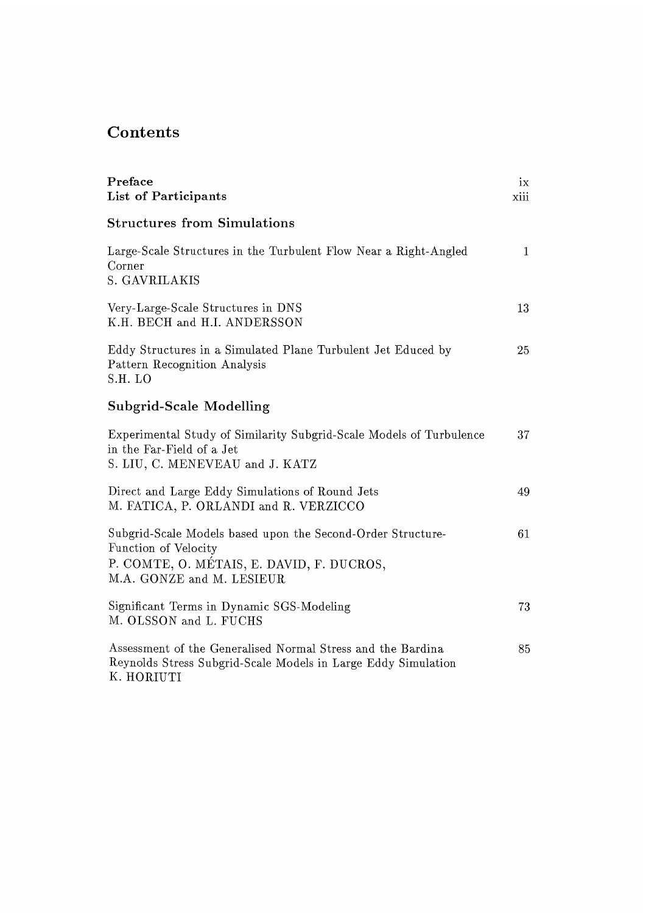## Contents

| Preface<br>List of Participants                                                                                                                               | ix<br>xiii   |
|---------------------------------------------------------------------------------------------------------------------------------------------------------------|--------------|
| <b>Structures from Simulations</b>                                                                                                                            |              |
| Large-Scale Structures in the Turbulent Flow Near a Right-Angled<br>Corner<br>S. GAVRILAKIS                                                                   | $\mathbf{1}$ |
| Very-Large-Scale Structures in DNS<br>K.H. BECH and H.I. ANDERSSON                                                                                            | 13           |
| Eddy Structures in a Simulated Plane Turbulent Jet Educed by<br>Pattern Recognition Analysis<br>S.H. LO                                                       | 25           |
| <b>Subgrid-Scale Modelling</b>                                                                                                                                |              |
| Experimental Study of Similarity Subgrid-Scale Models of Turbulence<br>in the Far-Field of a Jet<br>S. LIU, C. MENEVEAU and J. KATZ                           | 37           |
| Direct and Large Eddy Simulations of Round Jets<br>M. FATICA, P. ORLANDI and R. VERZICCO                                                                      | 49           |
| Subgrid-Scale Models based upon the Second-Order Structure-<br>Function of Velocity<br>P. COMTE, O. MÉTAIS, E. DAVID, F. DUCROS,<br>M.A. GONZE and M. LESIEUR | 61           |
| Significant Terms in Dynamic SGS-Modeling<br>M. OLSSON and L. FUCHS                                                                                           | 73           |
| Assessment of the Generalised Normal Stress and the Bardina<br>Reynolds Stress Subgrid-Scale Models in Large Eddy Simulation<br>K. HORIUTI                    | 85           |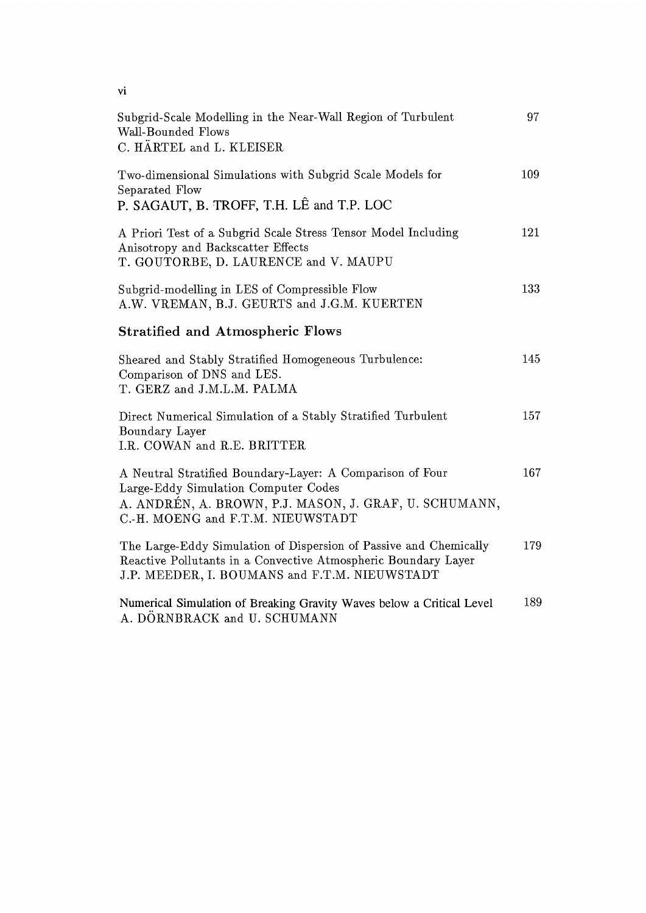| vi                                                                                                                                                                                               |     |
|--------------------------------------------------------------------------------------------------------------------------------------------------------------------------------------------------|-----|
| Subgrid-Scale Modelling in the Near-Wall Region of Turbulent<br>Wall-Bounded Flows<br>C. HÄRTEL and L. KLEISER                                                                                   | 97  |
| Two-dimensional Simulations with Subgrid Scale Models for<br>Separated Flow<br>P. SAGAUT, B. TROFF, T.H. LÊ and T.P. LOC                                                                         | 109 |
| A Priori Test of a Subgrid Scale Stress Tensor Model Including<br>Anisotropy and Backscatter Effects<br>T. GOUTORBE, D. LAURENCE and V. MAUPU                                                    | 121 |
| Subgrid-modelling in LES of Compressible Flow<br>A.W. VREMAN, B.J. GEURTS and J.G.M. KUERTEN                                                                                                     | 133 |
| <b>Stratified and Atmospheric Flows</b>                                                                                                                                                          |     |
| Sheared and Stably Stratified Homogeneous Turbulence:<br>Comparison of DNS and LES.<br>T. GERZ and J.M.L.M. PALMA                                                                                | 145 |
| Direct Numerical Simulation of a Stably Stratified Turbulent<br>Boundary Layer<br>I.R. COWAN and R.E. BRITTER                                                                                    | 157 |
| A Neutral Stratified Boundary-Layer: A Comparison of Four<br>Large-Eddy Simulation Computer Codes<br>A. ANDRÉN, A. BROWN, P.J. MASON, J. GRAF, U. SCHUMANN,<br>C.-H. MOENG and F.T.M. NIEUWSTADT | 167 |
| The Large-Eddy Simulation of Dispersion of Passive and Chemically<br>Reactive Pollutants in a Convective Atmospheric Boundary Layer<br>J.P. MEEDER, I. BOUMANS and F.T.M. NIEUWSTADT             | 179 |
| Numerical Simulation of Breaking Gravity Waves below a Critical Level<br>A. DÖRNBRACK and U. SCHUMANN                                                                                            | 189 |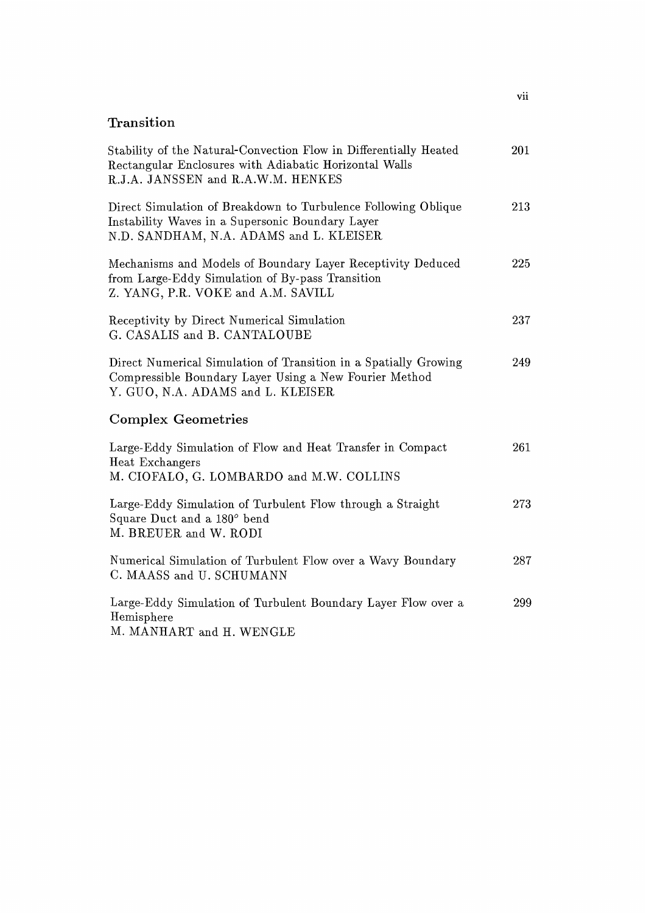## **Transition**

| Stability of the Natural-Convection Flow in Differentially Heated<br>Rectangular Enclosures with Adiabatic Horizontal Walls<br>R.J.A. JANSSEN and R.A.W.M. HENKES | 201 |
|-------------------------------------------------------------------------------------------------------------------------------------------------------------------|-----|
| Direct Simulation of Breakdown to Turbulence Following Oblique<br>Instability Waves in a Supersonic Boundary Layer<br>N.D. SANDHAM, N.A. ADAMS and L. KLEISER     | 213 |
| Mechanisms and Models of Boundary Layer Receptivity Deduced<br>from Large-Eddy Simulation of By-pass Transition<br>Z. YANG, P.R. VOKE and A.M. SAVILL             | 225 |
| Receptivity by Direct Numerical Simulation<br>G. CASALIS and B. CANTALOUBE                                                                                        | 237 |
| Direct Numerical Simulation of Transition in a Spatially Growing<br>Compressible Boundary Layer Using a New Fourier Method<br>Y. GUO, N.A. ADAMS and L. KLEISER   | 249 |
| <b>Complex Geometries</b>                                                                                                                                         |     |
| Large-Eddy Simulation of Flow and Heat Transfer in Compact<br>Heat Exchangers<br>M. CIOFALO, G. LOMBARDO and M.W. COLLINS                                         | 261 |
| Large-Eddy Simulation of Turbulent Flow through a Straight<br>Square Duct and a 180° bend<br>M. BREUER and W. RODI                                                | 273 |
| Numerical Simulation of Turbulent Flow over a Wavy Boundary<br>C. MAASS and U. SCHUMANN                                                                           | 287 |
| Large-Eddy Simulation of Turbulent Boundary Layer Flow over a<br>Hemisphere<br>M. MANHART and H. WENGLE                                                           | 299 |